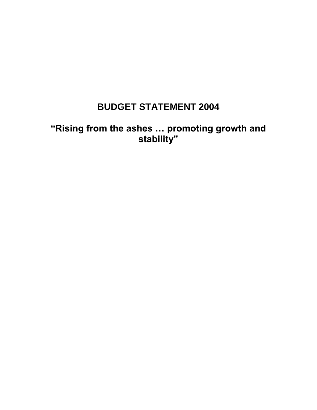# **BUDGET STATEMENT 2004**

**"Rising from the ashes … promoting growth and stability"**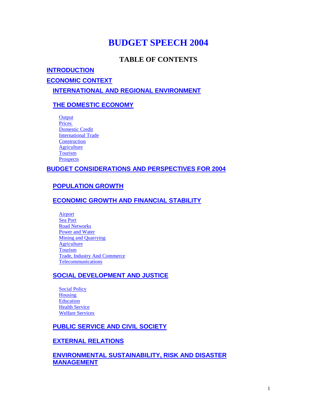## **BUDGET SPEECH 2004**

## **TABLE OF CONTENTS**

#### **[INTRODUCTION](http://www.devunit.gov.ms/budget/2004/budget2004.htm#_Toc66773305#_Toc66773305)**

**[ECONOMIC CONTEXT](http://www.devunit.gov.ms/budget/2004/budget2004.htm#_Toc66773306#_Toc66773306)**

**[INTERNATIONAL AND REGIONAL ENVIRONMENT](http://www.devunit.gov.ms/budget/2004/budget2004.htm#_Toc66773307#_Toc66773307)**

#### **[THE DOMESTIC ECONOMY](http://www.devunit.gov.ms/budget/2004/budget2004.htm#_Toc66773308#_Toc66773308)**

**Output** [Prices](http://www.devunit.gov.ms/budget/2004/budget2004.htm#_Toc66773310#_Toc66773310) [Domestic Credit](http://www.devunit.gov.ms/budget/2004/budget2004.htm#_Toc66773311#_Toc66773311) [International Trade](http://www.devunit.gov.ms/budget/2004/budget2004.htm#_Toc66773312#_Toc66773312) **[Construction](http://www.devunit.gov.ms/budget/2004/budget2004.htm#_Toc66773313#_Toc66773313) [Agriculture](http://www.devunit.gov.ms/budget/2004/budget2004.htm#_Toc66773314#_Toc66773314) [Tourism](http://www.devunit.gov.ms/budget/2004/budget2004.htm#_Toc66773315#_Toc66773315) [Prospects](http://www.devunit.gov.ms/budget/2004/budget2004.htm#_Toc66773316#_Toc66773316)** 

#### **[BUDGET CONSIDERATIONS AND PERSPECTIVES FOR 2004](http://www.devunit.gov.ms/budget/2004/budget2004.htm#_Toc66773317#_Toc66773317)**

#### **[POPULATION GROWTH](http://www.devunit.gov.ms/budget/2004/budget2004.htm#_Toc66773318#_Toc66773318)**

#### **[ECONOMIC GROWTH AND FINANCIAL STABILITY](http://www.devunit.gov.ms/budget/2004/budget2004.htm#_Toc66773319#_Toc66773319)**

[Airport](http://www.devunit.gov.ms/budget/2004/budget2004.htm#_Toc66773320#_Toc66773320) [Sea Port](http://www.devunit.gov.ms/budget/2004/budget2004.htm#_Toc66773321#_Toc66773321) [Road Networks](http://www.devunit.gov.ms/budget/2004/budget2004.htm#_Toc66773322#_Toc66773322) [Power and Water](http://www.devunit.gov.ms/budget/2004/budget2004.htm#_Toc66773323#_Toc66773323) [Mining and Quarrying](http://www.devunit.gov.ms/budget/2004/budget2004.htm#_Toc66773324#_Toc66773324) **[Agriculture](http://www.devunit.gov.ms/budget/2004/budget2004.htm#_Toc66773325#_Toc66773325)** [Tourism](http://www.devunit.gov.ms/budget/2004/budget2004.htm#_Toc66773326#_Toc66773326) Trade, [Industry And Commerce](http://www.devunit.gov.ms/budget/2004/budget2004.htm#_Toc66773327#_Toc66773327) [Telecommunications](http://www.devunit.gov.ms/budget/2004/budget2004.htm#_Toc66773328#_Toc66773328)

#### **SOCIAL [DEVELOPMENT AND JUSTICE](http://www.devunit.gov.ms/budget/2004/budget2004.htm#_Toc66773329#_Toc66773329)**

**[Social Policy](http://www.devunit.gov.ms/budget/2004/budget2004.htm#_Toc66773330#_Toc66773330)** [Housing](http://www.devunit.gov.ms/budget/2004/budget2004.htm#_Toc66773331#_Toc66773331) [Education](http://www.devunit.gov.ms/budget/2004/budget2004.htm#_Toc66773332#_Toc66773332) **[Health Service](http://www.devunit.gov.ms/budget/2004/budget2004.htm#_Toc66773333#_Toc66773333)** [Welfare Services](http://www.devunit.gov.ms/budget/2004/budget2004.htm#_Toc66773334#_Toc66773334)

#### **[PUBLIC SERVICE AND CIVIL SOCIETY](http://www.devunit.gov.ms/budget/2004/budget2004.htm#_Toc66773335#_Toc66773335)**

#### **[EXTERNAL RELATIONS](http://www.devunit.gov.ms/budget/2004/budget2004.htm#_Toc66773336#_Toc66773336)**

#### **[ENVIRONMENTAL SUSTAINABILITY, RISK AND DISASTER](http://www.devunit.gov.ms/budget/2004/budget2004.htm#_Toc66773337#_Toc66773337)  [MANAGEMENT](http://www.devunit.gov.ms/budget/2004/budget2004.htm#_Toc66773337#_Toc66773337)**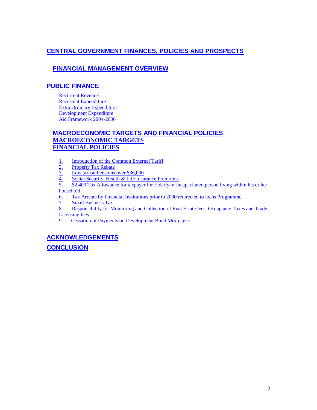#### **[CENTRAL GOVERNMENT FINANCES, POLICIES AND PROSPECTS](http://www.devunit.gov.ms/budget/2004/budget2004.htm#_Toc66773338#_Toc66773338)**

#### **[FINANCIAL MANAGEMENT](http://www.devunit.gov.ms/budget/2004/budget2004.htm#_Toc66773339#_Toc66773339) OVERVIEW**

#### **[PUBLIC FINANCE](http://www.devunit.gov.ms/budget/2004/budget2004.htm#_Toc66773340#_Toc66773340)**

[Recurrent Revenue](http://www.devunit.gov.ms/budget/2004/budget2004.htm#_Toc66773341#_Toc66773341) [Recurrent Expenditure](http://www.devunit.gov.ms/budget/2004/budget2004.htm#_Toc66773342#_Toc66773342) [Extra Ordinary Expenditure](http://www.devunit.gov.ms/budget/2004/budget2004.htm#_Toc66773343#_Toc66773343) [Development Expenditure](http://www.devunit.gov.ms/budget/2004/budget2004.htm#_Toc66773344#_Toc66773344) [Aid Framework 2004-2006](http://www.devunit.gov.ms/budget/2004/budget2004.htm#_Toc66773345#_Toc66773345)

#### **[MACROECONOMIC TARGETS AND FINANCIAL POLICIES](http://www.devunit.gov.ms/budget/2004/budget2004.htm#_Toc66773346#_Toc66773346) [MACROECONOMIC TARGETS](http://www.devunit.gov.ms/budget/2004/budget2004.htm#_Toc66773347#_Toc66773347) [FINANCIAL POLICIES](http://www.devunit.gov.ms/budget/2004/budget2004.htm#_Toc66773348#_Toc66773348)**

- 
- Property Tax Rebate
- Low tax on Pensions over \$36,000
- [1. Introduction of the Common External Tariff](http://www.devunit.gov.ms/budget/2004/budget2004.htm#_Toc66773349#_Toc66773349)<br>
2. <u>Property Tax Rebate</u><br>
3. Low tax on Pensions over \$36,000<br>
4. Social Security, Health & Life Insurance Pre<br>
5. \$2,400 Tax Allowance for taxpayer for Elde Social Security, Health & Life Insurance Premiums
- \$2,400 Tax Allowance for taxpayer for Elderly or incapacitated person living within his or her [household](http://www.devunit.gov.ms/budget/2004/budget2004.htm#_Toc66773353#_Toc66773353)
- [6. Tax Arrears by Financial Institutions prior to 2000 redirected to loans Programme.](http://www.devunit.gov.ms/budget/2004/budget2004.htm#_Toc66773354#_Toc66773354)
- 
- [7. Small Business Tax](http://www.devunit.gov.ms/budget/2004/budget2004.htm#_Toc66773355#_Toc66773355)<br>8. Responsibility for M [8. Responsibility for Monitoring and Collection of Real Estate fees, Occupancy Taxes and Trade](http://www.devunit.gov.ms/budget/2004/budget2004.htm#_Toc66773356#_Toc66773356)  [Licensing fees.](http://www.devunit.gov.ms/budget/2004/budget2004.htm#_Toc66773356#_Toc66773356)
- 9. [Cessation of Payments on Development Bond Mortgages](http://www.devunit.gov.ms/budget/2004/budget2004.htm#_Toc66773357#_Toc66773357)

#### **[ACKNOWLEDGEMENTS](http://www.devunit.gov.ms/budget/2004/budget2004.htm#_Toc66773358#_Toc66773358)**

**[CONCLUSION](http://www.devunit.gov.ms/budget/2004/budget2004.htm#_Toc66773359#_Toc66773359)**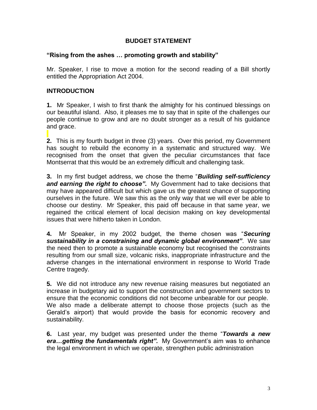#### **BUDGET STATEMENT**

#### **"Rising from the ashes … promoting growth and stability"**

Mr. Speaker, I rise to move a motion for the second reading of a Bill shortly entitled the Appropriation Act 2004.

#### **INTRODUCTION**

**1.** Mr Speaker, I wish to first thank the almighty for his continued blessings on our beautiful island. Also, it pleases me to say that in spite of the challenges our people continue to grow and are no doubt stronger as a result of his guidance and grace.

**2.** This is my fourth budget in three (3) years. Over this period, my Government has sought to rebuild the economy in a systematic and structured way. We recognised from the onset that given the peculiar circumstances that face Montserrat that this would be an extremely difficult and challenging task.

**3.** In my first budget address, we chose the theme "*Building self-sufficiency and earning the right to choose".* My Government had to take decisions that may have appeared difficult but which gave us the greatest chance of supporting ourselves in the future. We saw this as the only way that we will ever be able to choose our destiny. Mr Speaker, this paid off because in that same year, we regained the critical element of local decision making on key developmental issues that were hitherto taken in London.

**4.** Mr Speaker, in my 2002 budget, the theme chosen was "*Securing sustainability in a constraining and dynamic global environment"*. We saw the need then to promote a sustainable economy but recognised the constraints resulting from our small size, volcanic risks, inappropriate infrastructure and the adverse changes in the international environment in response to World Trade Centre tragedy.

**5.** We did not introduce any new revenue raising measures but negotiated an increase in budgetary aid to support the construction and government sectors to ensure that the economic conditions did not become unbearable for our people. We also made a deliberate attempt to choose those projects (such as the Gerald's airport) that would provide the basis for economic recovery and sustainability.

**6.** Last year, my budget was presented under the theme "*Towards a new era…getting the fundamentals right".* My Government's aim was to enhance the legal environment in which we operate, strengthen public administration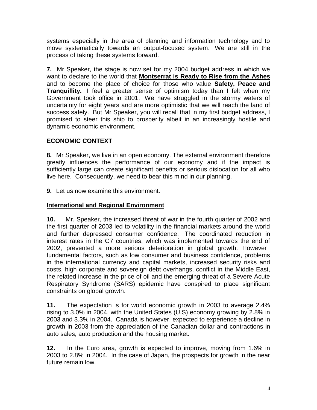systems especially in the area of planning and information technology and to move systematically towards an output-focused system. We are still in the process of taking these systems forward.

**7.** Mr Speaker, the stage is now set for my 2004 budget address in which we want to declare to the world that **Montserrat is Ready to Rise from the Ashes** and to become the place of choice for those who value **Safety, Peace and Tranquillity.** I feel a greater sense of optimism today than I felt when my Government took office in 2001. We have struggled in the stormy waters of uncertainty for eight years and are more optimistic that we will reach the land of success safely. But Mr Speaker, you will recall that in my first budget address, I promised to steer this ship to prosperity albeit in an increasingly hostile and dynamic economic environment.

#### **ECONOMIC CONTEXT**

**8.** Mr Speaker, we live in an open economy. The external environment therefore greatly influences the performance of our economy and if the impact is sufficiently large can create significant benefits or serious dislocation for all who live here. Consequently, we need to bear this mind in our planning.

**9.** Let us now examine this environment.

#### **International and Regional Environment**

**10.** Mr. Speaker, the increased threat of war in the fourth quarter of 2002 and the first quarter of 2003 led to volatility in the financial markets around the world and further depressed consumer confidence. The coordinated reduction in interest rates in the G7 countries, which was implemented towards the end of 2002, prevented a more serious deterioration in global growth. However fundamental factors, such as low consumer and business confidence, problems in the international currency and capital markets, increased security risks and costs, high corporate and sovereign debt overhangs, conflict in the Middle East, the related increase in the price of oil and the emerging threat of a Severe Acute Respiratory Syndrome (SARS) epidemic have conspired to place significant constraints on global growth.

**11.** The expectation is for world economic growth in 2003 to average 2.4% rising to 3.0% in 2004, with the United States (U.S) economy growing by 2.8% in 2003 and 3.3% in 2004. Canada is however, expected to experience a decline in growth in 2003 from the appreciation of the Canadian dollar and contractions in auto sales, auto production and the housing market.

**12.** In the Euro area, growth is expected to improve, moving from 1.6% in 2003 to 2.8% in 2004. In the case of Japan, the prospects for growth in the near future remain low.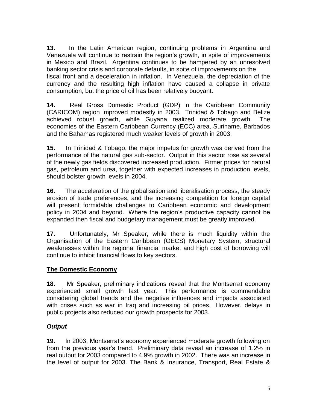**13.** In the Latin American region, continuing problems in Argentina and Venezuela will continue to restrain the region's growth, in spite of improvements in Mexico and Brazil. Argentina continues to be hampered by an unresolved banking sector crisis and corporate defaults, in spite of improvements on the fiscal front and a deceleration in inflation. In Venezuela, the depreciation of the currency and the resulting high inflation have caused a collapse in private consumption, but the price of oil has been relatively buoyant.

**14.** Real Gross Domestic Product (GDP) in the Caribbean Community (CARICOM) region improved modestly in 2003. Trinidad & Tobago and Belize achieved robust growth, while Guyana realized moderate growth. The economies of the Eastern Caribbean Currency (ECC) area, Suriname, Barbados and the Bahamas registered much weaker levels of growth in 2003.

**15.** In Trinidad & Tobago, the major impetus for growth was derived from the performance of the natural gas sub-sector. Output in this sector rose as several of the newly gas fields discovered increased production. Firmer prices for natural gas, petroleum and urea, together with expected increases in production levels, should bolster growth levels in 2004.

**16.** The acceleration of the globalisation and liberalisation process, the steady erosion of trade preferences, and the increasing competition for foreign capital will present formidable challenges to Caribbean economic and development policy in 2004 and beyond. Where the region's productive capacity cannot be expanded then fiscal and budgetary management must be greatly improved.

**17.** Unfortunately, Mr Speaker, while there is much liquidity within the Organisation of the Eastern Caribbean (OECS) Monetary System, structural weaknesses within the regional financial market and high cost of borrowing will continue to inhibit financial flows to key sectors.

#### **The Domestic Economy**

**18.** Mr Speaker, preliminary indications reveal that the Montserrat economy experienced small growth last year. This performance is commendable considering global trends and the negative influences and impacts associated with crises such as war in Iraq and increasing oil prices. However, delays in public projects also reduced our growth prospects for 2003.

## *Output*

**19.** In 2003, Montserrat's economy experienced moderate growth following on from the previous year's trend. Preliminary data reveal an increase of 1.2% in real output for 2003 compared to 4.9% growth in 2002. There was an increase in the level of output for 2003. The Bank & Insurance, Transport, Real Estate &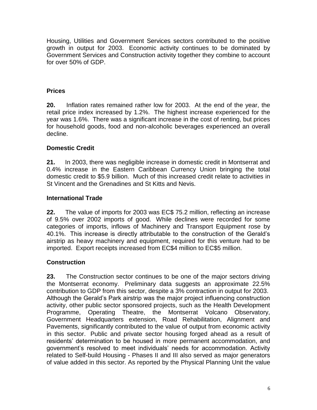Housing, Utilities and Government Services sectors contributed to the positive growth in output for 2003. Economic activity continues to be dominated by Government Services and Construction activity together they combine to account for over 50% of GDP.

#### **Prices**

**20.** Inflation rates remained rather low for 2003. At the end of the year, the retail price index increased by 1.2%. The highest increase experienced for the year was 1.6%. There was a significant increase in the cost of renting, but prices for household goods, food and non-alcoholic beverages experienced an overall decline.

#### **Domestic Credit**

**21.** In 2003, there was negligible increase in domestic credit in Montserrat and 0.4% increase in the Eastern Caribbean Currency Union bringing the total domestic credit to \$5.9 billion. Much of this increased credit relate to activities in St Vincent and the Grenadines and St Kitts and Nevis.

#### **International Trade**

**22.** The value of imports for 2003 was EC\$ 75.2 million, reflecting an increase of 9.5% over 2002 imports of good. While declines were recorded for some categories of imports, inflows of Machinery and Transport Equipment rose by 40.1%. This increase is directly attributable to the construction of the Gerald's airstrip as heavy machinery and equipment, required for this venture had to be imported. Export receipts increased from EC\$4 million to EC\$5 million.

## **Construction**

**23.** The Construction sector continues to be one of the major sectors driving the Montserrat economy. Preliminary data suggests an approximate 22.5% contribution to GDP from this sector, despite a 3% contraction in output for 2003. Although the Gerald's Park airstrip was the major project influencing construction activity, other public sector sponsored projects, such as the Health Development Programme, Operating Theatre, the Montserrat Volcano Observatory, Government Headquarters extension, Road Rehabilitation, Alignment and Pavements, significantly contributed to the value of output from economic activity in this sector. Public and private sector housing forged ahead as a result of residents' determination to be housed in more permanent accommodation, and government's resolved to meet individuals' needs for accommodation. Activity related to Self-build Housing - Phases II and III also served as major generators of value added in this sector. As reported by the Physical Planning Unit the value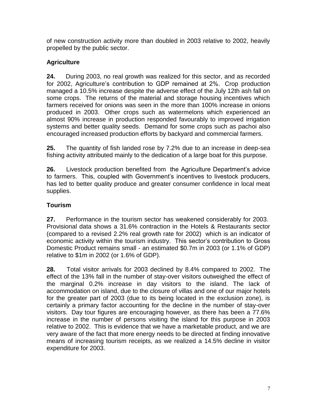of new construction activity more than doubled in 2003 relative to 2002, heavily propelled by the public sector.

## **Agriculture**

**24.** During 2003, no real growth was realized for this sector, and as recorded for 2002, Agriculture's contribution to GDP remained at 2%. Crop production managed a 10.5% increase despite the adverse effect of the July 12th ash fall on some crops. The returns of the material and storage housing incentives which farmers received for onions was seen in the more than 100% increase in onions produced in 2003. Other crops such as watermelons which experienced an almost 90% increase in production responded favourably to improved irrigation systems and better quality seeds. Demand for some crops such as pachoi also encouraged increased production efforts by backyard and commercial farmers.

**25.** The quantity of fish landed rose by 7.2% due to an increase in deep-sea fishing activity attributed mainly to the dedication of a large boat for this purpose.

**26.** Livestock production benefited from the Agriculture Department's advice to farmers. This, coupled with Government's incentives to livestock producers, has led to better quality produce and greater consumer confidence in local meat supplies.

## **Tourism**

**27.** Performance in the tourism sector has weakened considerably for 2003. Provisional data shows a 31.6% contraction in the Hotels & Restaurants sector (compared to a revised 2.2% real growth rate for 2002) which is an indicator of economic activity within the tourism industry. This sector's contribution to Gross Domestic Product remains small - an estimated \$0.7m in 2003 (or 1.1% of GDP) relative to \$1m in 2002 (or 1.6% of GDP).

**28.** Total visitor arrivals for 2003 declined by 8.4% compared to 2002. The effect of the 13% fall in the number of stay-over visitors outweighed the effect of the marginal 0.2% increase in day visitors to the island. The lack of accommodation on island, due to the closure of villas and one of our major hotels for the greater part of 2003 (due to its being located in the exclusion zone), is certainly a primary factor accounting for the decline in the number of stay-over visitors. Day tour figures are encouraging however, as there has been a 77.6% increase in the number of persons visiting the island for this purpose in 2003 relative to 2002. This is evidence that we have a marketable product, and we are very aware of the fact that more energy needs to be directed at finding innovative means of increasing tourism receipts, as we realized a 14.5% decline in visitor expenditure for 2003.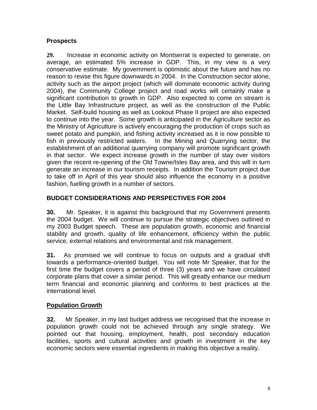#### **Prospects**

**29.** Increase in economic activity on Montserrat is expected to generate, on average, an estimated 5% increase in GDP. This, in my view is a very conservative estimate. My government is optimistic about the future and has no reason to revise this figure downwards in 2004. In the Construction sector alone, activity such as the airport project (which will dominate economic activity during 2004), the Community College project and road works will certainly make a significant contribution to growth in GDP. Also expected to come on stream is the Little Bay Infrastructure project, as well as the construction of the Public Market. Self-build housing as well as Lookout Phase II project are also expected to continue into the year. Some growth is anticipated in the Agriculture sector as the Ministry of Agriculture is actively encouraging the production of crops such as sweet potato and pumpkin, and fishing activity increased as it is now possible to fish in previously restricted waters. In the Mining and Quarrying sector, the establishment of an additional quarrying company will promote significant growth in that sector. We expect increase growth in the number of stay over visitors given the recent re-opening of the Old Towne/Isles Bay area, and this will in turn generate an increase in our tourism receipts. In addition the Tourism project due to take off in April of this year should also influence the economy in a positive fashion, fuelling growth in a number of sectors.

#### **BUDGET CONSIDERATIONS AND PERSPECTIVES FOR 2004**

**30.** Mr. Speaker, it is against this background that my Government presents the 2004 budget. We will continue to pursue the strategic objectives outlined in my 2003 Budget speech. These are population growth, economic and financial stability and growth, quality of life enhancement, efficiency within the public service, external relations and environmental and risk management.

**31.** As promised we will continue to focus on outputs and a gradual shift towards a performance-oriented budget. You will note Mr Speaker, that for the first time the budget covers a period of three (3) years and we have circulated corporate plans that cover a similar period. This will greatly enhance our medium term financial and economic planning and conforms to best practices at the international level.

## **Population Growth**

**32.** Mr Speaker, in my last budget address we recognised that the increase in population growth could not be achieved through any single strategy. We pointed out that housing, employment, health, post secondary education facilities, sports and cultural activities and growth in investment in the key economic sectors were essential ingredients in making this objective a reality.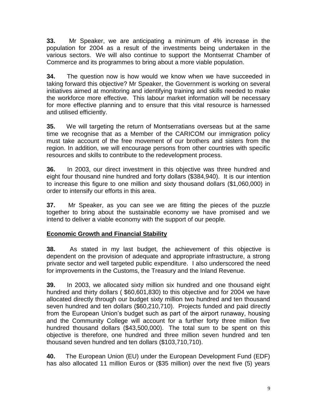**33.** Mr Speaker, we are anticipating a minimum of 4% increase in the population for 2004 as a result of the investments being undertaken in the various sectors. We will also continue to support the Montserrat Chamber of Commerce and its programmes to bring about a more viable population.

**34.** The question now is how would we know when we have succeeded in taking forward this objective? Mr Speaker, the Government is working on several initiatives aimed at monitoring and identifying training and skills needed to make the workforce more effective. This labour market information will be necessary for more effective planning and to ensure that this vital resource is harnessed and utilised efficiently.

**35.** We will targeting the return of Montserratians overseas but at the same time we recognise that as a Member of the CARICOM our immigration policy must take account of the free movement of our brothers and sisters from the region. In addition, we will encourage persons from other countries with specific resources and skills to contribute to the redevelopment process.

**36.** In 2003, our direct investment in this objective was three hundred and eight four thousand nine hundred and forty dollars (\$384,940). It is our intention to increase this figure to one million and sixty thousand dollars (\$1,060,000) in order to intensify our efforts in this area.

**37.** Mr Speaker, as you can see we are fitting the pieces of the puzzle together to bring about the sustainable economy we have promised and we intend to deliver a viable economy with the support of our people.

## **Economic Growth and Financial Stability**

**38.** As stated in my last budget, the achievement of this objective is dependent on the provision of adequate and appropriate infrastructure, a strong private sector and well targeted public expenditure. I also underscored the need for improvements in the Customs, the Treasury and the Inland Revenue.

**39.** In 2003, we allocated sixty million six hundred and one thousand eight hundred and thirty dollars ( \$60,601,830) to this objective and for 2004 we have allocated directly through our budget sixty million two hundred and ten thousand seven hundred and ten dollars (\$60,210,710). Projects funded and paid directly from the European Union's budget such as part of the airport runaway, housing and the Community College will account for a further forty three million five hundred thousand dollars (\$43,500,000). The total sum to be spent on this objective is therefore, one hundred and three million seven hundred and ten thousand seven hundred and ten dollars (\$103,710,710).

**40.** The European Union (EU) under the European Development Fund (EDF) has also allocated 11 million Euros or (\$35 million) over the next five (5) years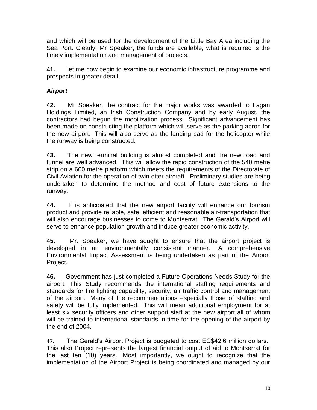and which will be used for the development of the Little Bay Area including the Sea Port. Clearly, Mr Speaker, the funds are available, what is required is the timely implementation and management of projects.

**41.** Let me now begin to examine our economic infrastructure programme and prospects in greater detail.

## *Airport*

**42.** Mr Speaker, the contract for the major works was awarded to Lagan Holdings Limited, an Irish Construction Company and by early August, the contractors had begun the mobilization process. Significant advancement has been made on constructing the platform which will serve as the parking apron for the new airport. This will also serve as the landing pad for the helicopter while the runway is being constructed.

**43.** The new terminal building is almost completed and the new road and tunnel are well advanced. This will allow the rapid construction of the 540 metre strip on a 600 metre platform which meets the requirements of the Directorate of Civil Aviation for the operation of twin otter aircraft. Preliminary studies are being undertaken to determine the method and cost of future extensions to the runway.

**44.** It is anticipated that the new airport facility will enhance our tourism product and provide reliable, safe, efficient and reasonable air-transportation that will also encourage businesses to come to Montserrat. The Gerald's Airport will serve to enhance population growth and induce greater economic activity.

**45.** Mr. Speaker, we have sought to ensure that the airport project is developed in an environmentally consistent manner. A comprehensive Environmental Impact Assessment is being undertaken as part of the Airport Project.

**46.** Government has just completed a Future Operations Needs Study for the airport. This Study recommends the international staffing requirements and standards for fire fighting capability, security, air traffic control and management of the airport. Many of the recommendations especially those of staffing and safety will be fully implemented. This will mean additional employment for at least six security officers and other support staff at the new airport all of whom will be trained to international standards in time for the opening of the airport by the end of 2004.

**47.** The Gerald's Airport Project is budgeted to cost EC\$42.6 million dollars. This also Project represents the largest financial output of aid to Montserrat for the last ten (10) years. Most importantly, we ought to recognize that the implementation of the Airport Project is being coordinated and managed by our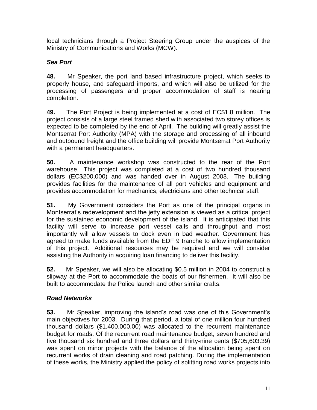local technicians through a Project Steering Group under the auspices of the Ministry of Communications and Works (MCW).

## *Sea Port*

**48.** Mr Speaker, the port land based infrastructure project, which seeks to properly house, and safeguard imports, and which will also be utilized for the processing of passengers and proper accommodation of staff is nearing completion.

**49.** The Port Project is being implemented at a cost of EC\$1.8 million. The project consists of a large steel framed shed with associated two storey offices is expected to be completed by the end of April. The building will greatly assist the Montserrat Port Authority (MPA) with the storage and processing of all inbound and outbound freight and the office building will provide Montserrat Port Authority with a permanent headquarters.

**50.** A maintenance workshop was constructed to the rear of the Port warehouse. This project was completed at a cost of two hundred thousand dollars (EC\$200,000) and was handed over in August 2003. The building provides facilities for the maintenance of all port vehicles and equipment and provides accommodation for mechanics, electricians and other technical staff.

**51.** My Government considers the Port as one of the principal organs in Montserrat's redevelopment and the jetty extension is viewed as a critical project for the sustained economic development of the island. It is anticipated that this facility will serve to increase port vessel calls and throughput and most importantly will allow vessels to dock even in bad weather. Government has agreed to make funds available from the EDF 9 tranche to allow implementation of this project. Additional resources may be required and we will consider assisting the Authority in acquiring loan financing to deliver this facility.

**52.** Mr Speaker, we will also be allocating \$0.5 million in 2004 to construct a slipway at the Port to accommodate the boats of our fishermen. It will also be built to accommodate the Police launch and other similar crafts.

## *Road Networks*

**53.** Mr Speaker, improving the island's road was one of this Government's main objectives for 2003. During that period, a total of one million four hundred thousand dollars (\$1,400,000.00) was allocated to the recurrent maintenance budget for roads. Of the recurrent road maintenance budget, seven hundred and five thousand six hundred and three dollars and thirty-nine cents (\$705,603.39) was spent on minor projects with the balance of the allocation being spent on recurrent works of drain cleaning and road patching. During the implementation of these works, the Ministry applied the policy of splitting road works projects into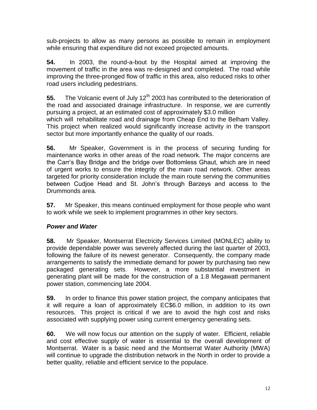sub-projects to allow as many persons as possible to remain in employment while ensuring that expenditure did not exceed projected amounts.

**54.** In 2003, the round-a-bout by the Hospital aimed at improving the movement of traffic in the area was re-designed and completed. The road while improving the three-pronged flow of traffic in this area, also reduced risks to other road users including pedestrians.

**55.** The Volcanic event of July 12<sup>th</sup> 2003 has contributed to the deterioration of the road and associated drainage infrastructure. In response, we are currently pursuing a project, at an estimated cost of approximately \$3.0 million which will rehabilitate road and drainage from Cheap End to the Belham Valley. This project when realized would significantly increase activity in the transport sector but more importantly enhance the quality of our roads.

**56.** Mr Speaker, Government is in the process of securing funding for maintenance works in other areas of the road network. The major concerns are the Carr's Bay Bridge and the bridge over Bottomless Ghaut, which are in need of urgent works to ensure the integrity of the main road network. Other areas targeted for priority consideration include the main route serving the communities between Cudjoe Head and St. John's through Barzeys and access to the Drummonds area.

**57.** Mr Speaker, this means continued employment for those people who want to work while we seek to implement programmes in other key sectors.

## *Power and Water*

**58.** Mr Speaker, Montserrat Electricity Services Limited (MONLEC) ability to provide dependable power was severely affected during the last quarter of 2003, following the failure of its newest generator. Consequently, the company made arrangements to satisfy the immediate demand for power by purchasing two new packaged generating sets. However, a more substantial investment in generating plant will be made for the construction of a 1.8 Megawatt permanent power station, commencing late 2004.

**59.** In order to finance this power station project, the company anticipates that it will require a loan of approximately EC\$6.0 million, in addition to its own resources. This project is critical if we are to avoid the high cost and risks associated with supplying power using current emergency generating sets.

**60.** We will now focus our attention on the supply of water. Efficient, reliable and cost effective supply of water is essential to the overall development of Montserrat. Water is a basic need and the Montserrat Water Authority (MWA) will continue to upgrade the distribution network in the North in order to provide a better quality, reliable and efficient service to the populace.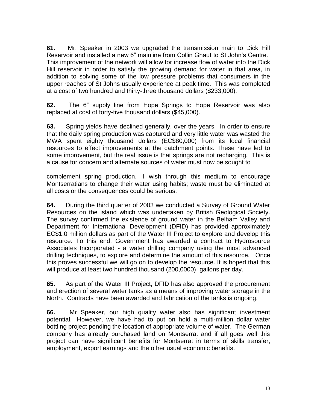**61.** Mr. Speaker in 2003 we upgraded the transmission main to Dick Hill Reservoir and installed a new 6" mainline from Collin Ghaut to St John's Centre. This improvement of the network will allow for increase flow of water into the Dick Hill reservoir in order to satisfy the growing demand for water in that area, in addition to solving some of the low pressure problems that consumers in the upper reaches of St Johns usually experience at peak time. This was completed at a cost of two hundred and thirty-three thousand dollars (\$233,000).

**62.** The 6" supply line from Hope Springs to Hope Reservoir was also replaced at cost of forty-five thousand dollars (\$45,000).

**63.** Spring yields have declined generally, over the years. In order to ensure that the daily spring production was captured and very little water was wasted the MWA spent eighty thousand dollars (EC\$80,000) from its local financial resources to effect improvements at the catchment points. These have led to some improvement, but the real issue is that springs are not recharging. This is a cause for concern and alternate sources of water must now be sought to

complement spring production. I wish through this medium to encourage Montserratians to change their water using habits; waste must be eliminated at all costs or the consequences could be serious.

**64.** During the third quarter of 2003 we conducted a Survey of Ground Water Resources on the island which was undertaken by British Geological Society. The survey confirmed the existence of ground water in the Belham Valley and Department for International Development (DFID) has provided approximately EC\$1.0 million dollars as part of the Water III Project to explore and develop this resource. To this end, Government has awarded a contract to Hydrosource Associates Incorporated - a water drilling company using the most advanced drilling techniques, to explore and determine the amount of this resource. Once this proves successful we will go on to develop the resource. It is hoped that this will produce at least two hundred thousand (200,0000) gallons per day.

**65.** As part of the Water III Project, DFID has also approved the procurement and erection of several water tanks as a means of improving water storage in the North. Contracts have been awarded and fabrication of the tanks is ongoing.

**66.** Mr Speaker, our high quality water also has significant investment potential. However, we have had to put on hold a multi-million dollar water bottling project pending the location of appropriate volume of water. The German company has already purchased land on Montserrat and if all goes well this project can have significant benefits for Montserrat in terms of skills transfer, employment, export earnings and the other usual economic benefits.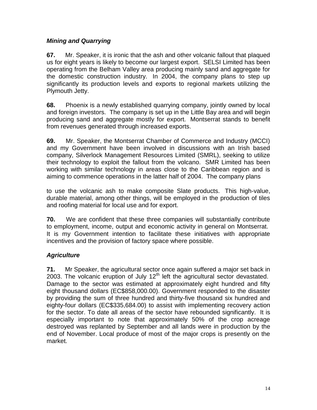#### *Mining and Quarrying*

**67.** Mr. Speaker, it is ironic that the ash and other volcanic fallout that plaqued us for eight years is likely to become our largest export. SELSI Limited has been operating from the Belham Valley area producing mainly sand and aggregate for the domestic construction industry. In 2004, the company plans to step up significantly its production levels and exports to regional markets utilizing the Plymouth Jetty.

**68.** Phoenix is a newly established quarrying company, jointly owned by local and foreign investors. The company is set up in the Little Bay area and will begin producing sand and aggregate mostly for export. Montserrat stands to benefit from revenues generated through increased exports.

**69.** Mr. Speaker, the Montserrat Chamber of Commerce and Industry (MCCI) and my Government have been involved in discussions with an Irish based company, Silverlock Management Resources Limited (SMRL), seeking to utilize their technology to exploit the fallout from the volcano. SMR Limited has been working with similar technology in areas close to the Caribbean region and is aiming to commence operations in the latter half of 2004. The company plans

to use the volcanic ash to make composite Slate products. This high-value, durable material, among other things, will be employed in the production of tiles and roofing material for local use and for export.

**70.** We are confident that these three companies will substantially contribute to employment, income, output and economic activity in general on Montserrat. It is my Government intention to facilitate these initiatives with appropriate incentives and the provision of factory space where possible.

## *Agriculture*

**71.** Mr Speaker, the agricultural sector once again suffered a major set back in 2003. The volcanic eruption of July  $12<sup>th</sup>$  left the agricultural sector devastated. Damage to the sector was estimated at approximately eight hundred and fifty eight thousand dollars (EC\$858,000.00). Government responded to the disaster by providing the sum of three hundred and thirty-five thousand six hundred and eighty-four dollars (EC\$335,684.00) to assist with implementing recovery action for the sector. To date all areas of the sector have rebounded significantly. It is especially important to note that approximately 50% of the crop acreage destroyed was replanted by September and all lands were in production by the end of November. Local produce of most of the major crops is presently on the market.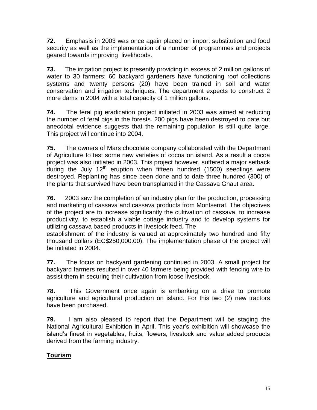**72.** Emphasis in 2003 was once again placed on import substitution and food security as well as the implementation of a number of programmes and projects geared towards improving livelihoods.

**73.** The irrigation project is presently providing in excess of 2 million gallons of water to 30 farmers; 60 backyard gardeners have functioning roof collections systems and twenty persons (20) have been trained in soil and water conservation and irrigation techniques. The department expects to construct 2 more dams in 2004 with a total capacity of 1 million gallons.

**74.** The feral pig eradication project initiated in 2003 was aimed at reducing the number of feral pigs in the forests. 200 pigs have been destroyed to date but anecdotal evidence suggests that the remaining population is still quite large. This project will continue into 2004.

**75.** The owners of Mars chocolate company collaborated with the Department of Agriculture to test some new varieties of cocoa on island. As a result a cocoa project was also initiated in 2003. This project however, suffered a major setback during the July  $12<sup>th</sup>$  eruption when fifteen hundred (1500) seedlings were destroyed. Replanting has since been done and to date three hundred (300) of the plants that survived have been transplanted in the Cassava Ghaut area.

**76.** 2003 saw the completion of an industry plan for the production, processing and marketing of cassava and cassava products from Montserrat. The objectives of the project are to increase significantly the cultivation of cassava, to increase productivity, to establish a viable cottage industry and to develop systems for utilizing cassava based products in livestock feed. The

establishment of the industry is valued at approximately two hundred and fifty thousand dollars (EC\$250,000.00). The implementation phase of the project will be initiated in 2004.

**77.** The focus on backyard gardening continued in 2003. A small project for backyard farmers resulted in over 40 farmers being provided with fencing wire to assist them in securing their cultivation from loose livestock.

**78.** This Government once again is embarking on a drive to promote agriculture and agricultural production on island. For this two (2) new tractors have been purchased.

**79.** I am also pleased to report that the Department will be staging the National Agricultural Exhibition in April. This year's exhibition will showcase the island's finest in vegetables, fruits, flowers, livestock and value added products derived from the farming industry.

## **Tourism**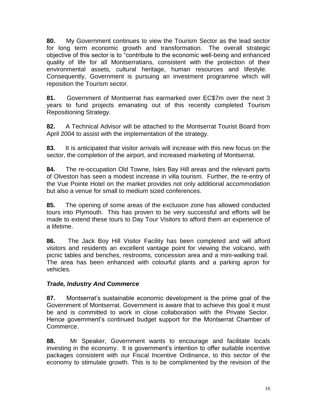**80.** My Government continues to view the Tourism Sector as the lead sector for long term economic growth and transformation. The overall strategic objective of this sector is to "contribute to the economic well-being and enhanced quality of life for all Montserratians, consistent with the protection of their environmental assets, cultural heritage, human resources and lifestyle. Consequently, Government is pursuing an investment programme which will reposition the Tourism sector.

**81.** Government of Montserrat has earmarked over EC\$7m over the next 3 years to fund projects emanating out of this recently completed Tourism Repositioning Strategy.

**82.** A Technical Advisor will be attached to the Montserrat Tourist Board from April 2004 to assist with the implementation of the strategy.

**83.** It is anticipated that visitor arrivals will increase with this new focus on the sector, the completion of the airport, and increased marketing of Montserrat.

**84.** The re-occupation Old Towne, Isles Bay Hill areas and the relevant parts of Olveston has seen a modest increase in villa tourism. Further, the re-entry of the Vue Pointe Hotel on the market provides not only additional accommodation but also a venue for small to medium sized conferences.

**85.** The opening of some areas of the exclusion zone has allowed conducted tours into Plymouth. This has proven to be very successful and efforts will be made to extend these tours to Day Tour Visitors to afford them an experience of a lifetime.

**86.** The Jack Boy Hill Visitor Facility has been completed and will afford visitors and residents an excellent vantage point for viewing the volcano, with picnic tables and benches, restrooms, concession area and a mini-walking trail. The area has been enhanced with colourful plants and a parking apron for vehicles.

#### *Trade, Industry And Commerce*

**87.** Montserrat's sustainable economic development is the prime goal of the Government of Montserrat. Government is aware that to achieve this goal it must be and is committed to work in close collaboration with the Private Sector. Hence government's continued budget support for the Montserrat Chamber of Commerce.

**88.** Mr Speaker, Government wants to encourage and facilitate locals investing in the economy. It is government's intention to offer suitable incentive packages consistent with our Fiscal Incentive Ordinance, to this sector of the economy to stimulate growth. This is to be complimented by the revision of the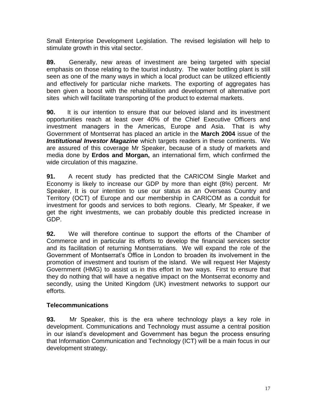Small Enterprise Development Legislation. The revised legislation will help to stimulate growth in this vital sector.

**89.** Generally, new areas of investment are being targeted with special emphasis on those relating to the tourist industry. The water bottling plant is still seen as one of the many ways in which a local product can be utilized efficiently and effectively for particular niche markets. The exporting of aggregates has been given a boost with the rehabilitation and development of alternative port sites which will facilitate transporting of the product to external markets.

**90.** It is our intention to ensure that our beloved island and its investment opportunities reach at least over 40% of the Chief Executive Officers and investment managers in the Americas, Europe and Asia. That is why Government of Montserrat has placed an article in the **March 2004** issue of the *Institutional Investor Magazine* which targets readers in these continents. We are assured of this coverage Mr Speaker, because of a study of markets and media done by **Erdos and Morgan,** an international firm, which confirmed the wide circulation of this magazine.

**91.** A recent study has predicted that the CARICOM Single Market and Economy is likely to increase our GDP by more than eight (8%) percent. Mr Speaker, It is our intention to use our status as an Overseas Country and Territory (OCT) of Europe and our membership in CARICOM as a conduit for investment for goods and services to both regions. Clearly, Mr Speaker, if we get the right investments, we can probably double this predicted increase in GDP.

**92.** We will therefore continue to support the efforts of the Chamber of Commerce and in particular its efforts to develop the financial services sector and its facilitation of returning Montserratians. We will expand the role of the Government of Montserrat's Office in London to broaden its involvement in the promotion of investment and tourism of the island. We will request Her Majesty Government (HMG) to assist us in this effort in two ways. First to ensure that they do nothing that will have a negative impact on the Montserrat economy and secondly, using the United Kingdom (UK) investment networks to support our efforts.

#### **Telecommunications**

**93.** Mr Speaker, this is the era where technology plays a key role in development. Communications and Technology must assume a central position in our island's development and Government has begun the process ensuring that Information Communication and Technology (ICT) will be a main focus in our development strategy.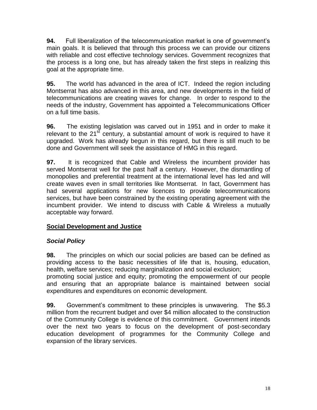**94.** Full liberalization of the telecommunication market is one of government's main goals. It is believed that through this process we can provide our citizens with reliable and cost effective technology services. Government recognizes that the process is a long one, but has already taken the first steps in realizing this goal at the appropriate time.

**95.** The world has advanced in the area of ICT. Indeed the region including Montserrat has also advanced in this area, and new developments in the field of telecommunications are creating waves for change. In order to respond to the needs of the industry, Government has appointed a Telecommunications Officer on a full time basis.

**96.** The existing legislation was carved out in 1951 and in order to make it relevant to the  $21<sup>st</sup>$  century, a substantial amount of work is required to have it upgraded. Work has already begun in this regard, but there is still much to be done and Government will seek the assistance of HMG in this regard.

**97.** It is recognized that Cable and Wireless the incumbent provider has served Montserrat well for the past half a century. However, the dismantling of monopolies and preferential treatment at the international level has led and will create waves even in small territories like Montserrat. In fact, Government has had several applications for new licences to provide telecommunications services, but have been constrained by the existing operating agreement with the incumbent provider. We intend to discuss with Cable & Wireless a mutually acceptable way forward.

#### **Social Development and Justice**

#### *Social Policy*

**98.** The principles on which our social policies are based can be defined as providing access to the basic necessities of life that is, housing, education, health, welfare services; reducing marginalization and social exclusion;

promoting social justice and equity; promoting the empowerment of our people and ensuring that an appropriate balance is maintained between social expenditures and expenditures on economic development.

**99.** Government's commitment to these principles is unwavering. The \$5.3 million from the recurrent budget and over \$4 million allocated to the construction of the Community College is evidence of this commitment. Government intends over the next two years to focus on the development of post-secondary education development of programmes for the Community College and expansion of the library services.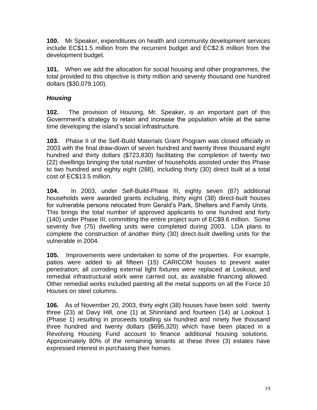**100.** Mr Speaker, expenditures on health and community development services include EC\$11.5 million from the recurrent budget and EC\$2.6 million from the development budget.

**101.** When we add the allocation for social housing and other programmes, the total provided to this objective is thirty million and seventy thousand one hundred dollars (\$30,079,100).

## *Housing*

**102.** The provision of Housing, Mr. Speaker, is an important part of this Government's strategy to retain and increase the population while at the same time developing the island's social infrastructure.

**103.** Phase II of the Self-Build Materials Grant Program was closed officially in 2003 with the final draw-down of seven hundred and twenty three thousand eight hundred and thirty dollars (\$723,830) facilitating the completion of twenty two (22) dwellings bringing the total number of households assisted under this Phase to two hundred and eighty eight (288), including thirty (30) direct built at a total cost of EC\$13.5 million.

**104.** In 2003, under Self-Build-Phase III, eighty seven (87) additional households were awarded grants including, thirty eight (38) direct-built houses for vulnerable persons relocated from Gerald's Park, Shelters and Family Units. This brings the total number of approved applicants to one hundred and forty (140) under Phase III, committing the entire project sum of EC\$9.6 million. Some seventy five (75) dwelling units were completed during 2003. LDA plans to complete the construction of another thirty (30) direct-built dwelling units for the vulnerable in 2004.

**105.** Improvements were undertaken to some of the properties. For example, patios were added to all fifteen (15) CARICOM houses to prevent water penetration; all corroding external light fixtures were replaced at Lookout, and remedial infrastructural work were carried out, as available financing allowed. Other remedial works included painting all the metal supports on all the Force 10 Houses on steel columns.

**106.** As of November 20, 2003, thirty eight (38) houses have been sold: twenty three (23) at Davy Hill, one (1) at Shinnland and fourteen (14) at Lookout 1 (Phase 1) resulting in proceeds totalling six hundred and ninety five thousand three hundred and twenty dollars (\$695,320) which have been placed in a Revolving Housing Fund account to finance additional housing solutions. Approximately 80% of the remaining tenants at these three (3) estates have expressed interest in purchasing their homes.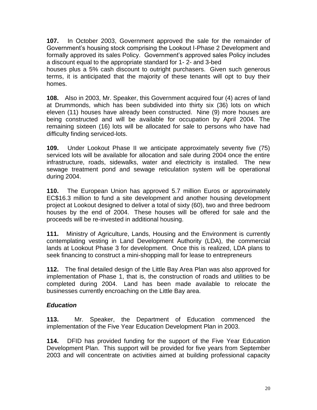**107.** In October 2003, Government approved the sale for the remainder of Government's housing stock comprising the Lookout I-Phase 2 Development and formally approved its sales Policy. Government's approved sales Policy includes a discount equal to the appropriate standard for 1- 2- and 3-bed

houses plus a 5% cash discount to outright purchasers. Given such generous terms, it is anticipated that the majority of these tenants will opt to buy their homes.

**108.** Also in 2003, Mr. Speaker, this Government acquired four (4) acres of land at Drummonds, which has been subdivided into thirty six (36) lots on which eleven (11) houses have already been constructed. Nine (9) more houses are being constructed and will be available for occupation by April 2004. The remaining sixteen (16) lots will be allocated for sale to persons who have had difficulty finding serviced-lots.

**109.** Under Lookout Phase II we anticipate approximately seventy five (75) serviced lots will be available for allocation and sale during 2004 once the entire infrastructure, roads, sidewalks, water and electricity is installed. The new sewage treatment pond and sewage reticulation system will be operational during 2004.

**110.** The European Union has approved 5.7 million Euros or approximately EC\$16.3 million to fund a site development and another housing development project at Lookout designed to deliver a total of sixty (60), two and three bedroom houses by the end of 2004. These houses will be offered for sale and the proceeds will be re-invested in additional housing.

**111.** Ministry of Agriculture, Lands, Housing and the Environment is currently contemplating vesting in Land Development Authority (LDA), the commercial lands at Lookout Phase 3 for development. Once this is realized, LDA plans to seek financing to construct a mini-shopping mall for lease to entrepreneurs

**112.** The final detailed design of the Little Bay Area Plan was also approved for implementation of Phase 1, that is, the construction of roads and utilities to be completed during 2004. Land has been made available to relocate the businesses currently encroaching on the Little Bay area.

## *Education*

**113.** Mr. Speaker, the Department of Education commenced the implementation of the Five Year Education Development Plan in 2003.

**114.** DFID has provided funding for the support of the Five Year Education Development Plan. This support will be provided for five years from September 2003 and will concentrate on activities aimed at building professional capacity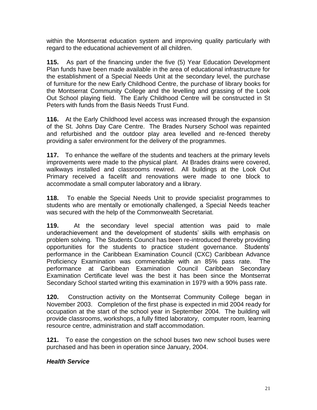within the Montserrat education system and improving quality particularly with regard to the educational achievement of all children.

**115.** As part of the financing under the five (5) Year Education Development Plan funds have been made available in the area of educational infrastructure for the establishment of a Special Needs Unit at the secondary level, the purchase of furniture for the new Early Childhood Centre, the purchase of library books for the Montserrat Community College and the levelling and grassing of the Look Out School playing field. The Early Childhood Centre will be constructed in St Peters with funds from the Basis Needs Trust Fund.

**116.** At the Early Childhood level access was increased through the expansion of the St. Johns Day Care Centre. The Brades Nursery School was repainted and refurbished and the outdoor play area levelled and re-fenced thereby providing a safer environment for the delivery of the programmes.

**117.** To enhance the welfare of the students and teachers at the primary levels improvements were made to the physical plant. At Brades drains were covered, walkways installed and classrooms rewired. All buildings at the Look Out Primary received a facelift and renovations were made to one block to accommodate a small computer laboratory and a library.

**118.** To enable the Special Needs Unit to provide specialist programmes to students who are mentally or emotionally challenged, a Special Needs teacher was secured with the help of the Commonwealth Secretariat.

**119.** At the secondary level special attention was paid to male underachievement and the development of students' skills with emphasis on problem solving. The Students Council has been re-introduced thereby providing opportunities for the students to practice student governance. Students' performance in the Caribbean Examination Council (CXC) Caribbean Advance Proficiency Examination was commendable with an 85% pass rate. The performance at Caribbean Examination Council Caribbean Secondary Examination Certificate level was the best it has been since the Montserrat Secondary School started writing this examination in 1979 with a 90% pass rate.

**120.** Construction activity on the Montserrat Community College began in November 2003. Completion of the first phase is expected in mid 2004 ready for occupation at the start of the school year in September 2004. The building will provide classrooms, workshops, a fully fitted laboratory, computer room, learning resource centre, administration and staff accommodation.

**121.** To ease the congestion on the school buses two new school buses were purchased and has been in operation since January, 2004.

## *Health Service*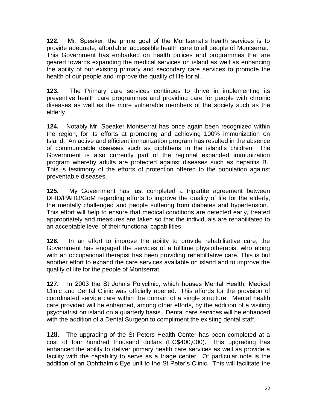**122.** Mr. Speaker, the prime goal of the Montserrat's health services is to provide adequate, affordable, accessible health care to all people of Montserrat. This Government has embarked on health polices and programmes that are geared towards expanding the medical services on island as well as enhancing the ability of our existing primary and secondary care services to promote the health of our people and improve the quality of life for all.

**123.** The Primary care services continues to thrive in implementing its preventive health care programmes and providing care for people with chronic diseases as well as the more vulnerable members of the society such as the elderly.

**124.** Notably Mr. Speaker Montserrat has once again been recognized within the region, for its efforts at promoting and achieving 100% immunization on Island. An active and efficient immunization program has resulted in the absence of communicable diseases such as diphtheria in the island's children. The Government is also currently part of the regional expanded immunization program whereby adults are protected against diseases such as hepatitis B. This is testimony of the efforts of protection offered to the population against preventable diseases.

**125.** My Government has just completed a tripartite agreement between DFID/PAHO/GoM regarding efforts to improve the quality of life for the elderly, the mentally challenged and people suffering from diabetes and hypertension. This effort will help to ensure that medical conditions are detected early, treated appropriately and measures are taken so that the individuals are rehabilitated to an acceptable level of their functional capabilities.

**126.** In an effort to improve the ability to provide rehabilitative care, the Government has engaged the services of a fulltime physiotherapist who along with an occupational therapist has been providing rehabilitative care. This is but another effort to expand the care services available on island and to improve the quality of life for the people of Montserrat.

**127.** In 2003 the St John's Polyclinic, which houses Mental Health, Medical Clinic and Dental Clinic was officially opened. This affords for the provision of coordinated service care within the domain of a single structure. Mental health care provided will be enhanced, among other efforts, by the addition of a visiting psychiatrist on island on a quarterly basis. Dental care services will be enhanced with the addition of a Dental Surgeon to compliment the existing dental staff.

**128.** The upgrading of the St Peters Health Center has been completed at a cost of four hundred thousand dollars (EC\$400,000). This upgrading has enhanced the ability to deliver primary health care services as well as provide a facility with the capability to serve as a triage center. Of particular note is the addition of an Ophthalmic Eye unit to the St Peter's Clinic. This will facilitate the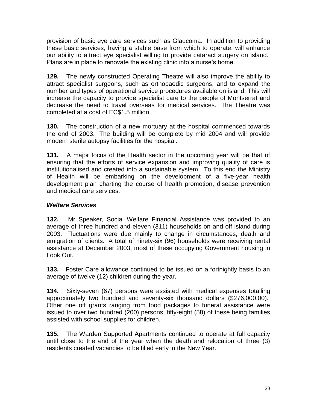provision of basic eye care services such as Glaucoma. In addition to providing these basic services, having a stable base from which to operate, will enhance our ability to attract eye specialist willing to provide cataract surgery on island. Plans are in place to renovate the existing clinic into a nurse's home.

**129.** The newly constructed Operating Theatre will also improve the ability to attract specialist surgeons, such as orthopaedic surgeons, and to expand the number and types of operational service procedures available on island. This will increase the capacity to provide specialist care to the people of Montserrat and decrease the need to travel overseas for medical services. The Theatre was completed at a cost of EC\$1.5 million.

**130.** The construction of a new mortuary at the hospital commenced towards the end of 2003. The building will be complete by mid 2004 and will provide modern sterile autopsy facilities for the hospital.

**131.** A major focus of the Health sector in the upcoming year will be that of ensuring that the efforts of service expansion and improving quality of care is institutionalised and created into a sustainable system. To this end the Ministry of Health will be embarking on the development of a five-year health development plan charting the course of health promotion, disease prevention and medical care services.

#### *Welfare Services*

**132.** Mr Speaker, Social Welfare Financial Assistance was provided to an average of three hundred and eleven (311) households on and off island during 2003. Fluctuations were due mainly to change in circumstances, death and emigration of clients. A total of ninety-six (96) households were receiving rental assistance at December 2003, most of these occupying Government housing in Look Out.

**133.** Foster Care allowance continued to be issued on a fortnightly basis to an average of twelve (12) children during the year.

**134.** Sixty-seven (67) persons were assisted with medical expenses totalling approximately two hundred and seventy-six thousand dollars (\$276,000.00). Other one off grants ranging from food packages to funeral assistance were issued to over two hundred (200) persons, fifty-eight (58) of these being families assisted with school supplies for children.

**135.** The Warden Supported Apartments continued to operate at full capacity until close to the end of the year when the death and relocation of three (3) residents created vacancies to be filled early in the New Year.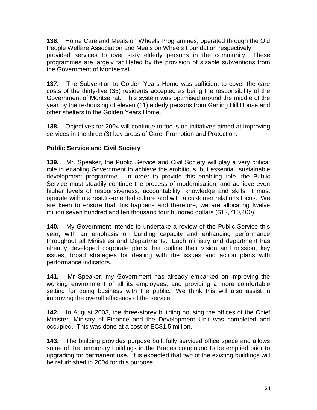**136.** Home Care and Meals on Wheels Programmes, operated through the Old People Welfare Association and Meals on Wheels Foundation respectively, provided services to over sixty elderly persons in the community. These programmes are largely facilitated by the provision of sizable subventions from the Government of Montserrat.

**137.** The Subvention to Golden Years Home was sufficient to cover the care costs of the thirty-five (35) residents accepted as being the responsibility of the Government of Montserrat. This system was optimised around the middle of the year by the re-housing of eleven (11) elderly persons from Garling Hill House and other shelters to the Golden Years Home.

**138.** Objectives for 2004 will continue to focus on initiatives aimed at improving services in the three (3) key areas of Care, Promotion and Protection.

## **Public Service and Civil Society**

**139.** Mr. Speaker, the Public Service and Civil Society will play a very critical role in enabling Government to achieve the ambitious, but essential, sustainable development programme. In order to provide this enabling role, the Public Service must steadily continue the process of modernisation, and achieve even higher levels of responsiveness, accountability, knowledge and skills; it must operate within a results-oriented culture and with a customer relations focus. We are keen to ensure that this happens and therefore, we are allocating twelve million seven hundred and ten thousand four hundred dollars (\$12,710,400).

**140.** My Government intends to undertake a review of the Public Service this year, with an emphasis on building capacity and enhancing performance throughout all Ministries and Departments. Each ministry and department has already developed corporate plans that outline their vision and mission, key issues, broad strategies for dealing with the issues and action plans with performance indicators.

**141.** Mr Speaker, my Government has already embarked on improving the working environment of all its employees, and providing a more comfortable setting for doing business with the public. We think this will also assist in improving the overall efficiency of the service.

**142.** In August 2003, the three-storey building housing the offices of the Chief Minister, Ministry of Finance and the Development Unit was completed and occupied. This was done at a cost of EC\$1.5 million.

**143.** The building provides purpose built fully serviced office space and allows some of the temporary buildings in the Brades compound to be emptied prior to upgrading for permanent use. It is expected that two of the existing buildings will be refurbished in 2004 for this purpose.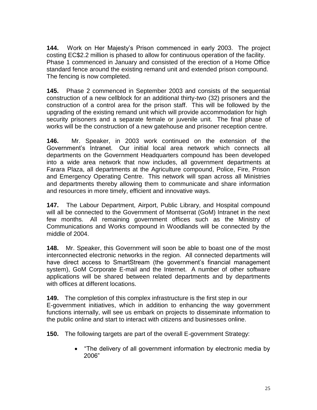**144.** Work on Her Majesty's Prison commenced in early 2003. The project costing EC\$2.2 million is phased to allow for continuous operation of the facility. Phase 1 commenced in January and consisted of the erection of a Home Office standard fence around the existing remand unit and extended prison compound. The fencing is now completed.

**145.** Phase 2 commenced in September 2003 and consists of the sequential construction of a new cellblock for an additional thirty-two (32) prisoners and the construction of a control area for the prison staff. This will be followed by the upgrading of the existing remand unit which will provide accommodation for high security prisoners and a separate female or juvenile unit. The final phase of works will be the construction of a new gatehouse and prisoner reception centre.

**146.** Mr. Speaker, in 2003 work continued on the extension of the Government's Intranet. Our initial local area network which connects all departments on the Government Headquarters compound has been developed into a wide area network that now includes, all government departments at Farara Plaza, all departments at the Agriculture compound, Police, Fire, Prison and Emergency Operating Centre. This network will span across all Ministries and departments thereby allowing them to communicate and share information and resources in more timely, efficient and innovative ways.

**147.** The Labour Department, Airport, Public Library, and Hospital compound will all be connected to the Government of Montserrat (GoM) Intranet in the next few months. All remaining government offices such as the Ministry of Communications and Works compound in Woodlands will be connected by the middle of 2004.

**148.** Mr. Speaker, this Government will soon be able to boast one of the most interconnected electronic networks in the region. All connected departments will have direct access to SmartStream (the government's financial management system), GoM Corporate E-mail and the Internet. A number of other software applications will be shared between related departments and by departments with offices at different locations.

**149.** The completion of this complex infrastructure is the first step in our E-government initiatives, which in addition to enhancing the way government functions internally, will see us embark on projects to disseminate information to the public online and start to interact with citizens and businesses online.

**150.** The following targets are part of the overall E-government Strategy:

 "The delivery of all government information by electronic media by 2006"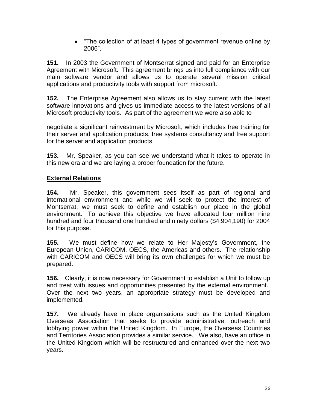• "The collection of at least 4 types of government revenue online by 2006".

**151.** In 2003 the Government of Montserrat signed and paid for an Enterprise Agreement with Microsoft. This agreement brings us into full compliance with our main software vendor and allows us to operate several mission critical applications and productivity tools with support from microsoft.

**152.** The Enterprise Agreement also allows us to stay current with the latest software innovations and gives us immediate access to the latest versions of all Microsoft productivity tools. As part of the agreement we were also able to

negotiate a significant reinvestment by Microsoft, which includes free training for their server and application products, free systems consultancy and free support for the server and application products.

**153.** Mr. Speaker, as you can see we understand what it takes to operate in this new era and we are laying a proper foundation for the future.

## **External Relations**

**154.** Mr. Speaker, this government sees itself as part of regional and international environment and while we will seek to protect the interest of Montserrat, we must seek to define and establish our place in the global environment. To achieve this objective we have allocated four million nine hundred and four thousand one hundred and ninety dollars (\$4,904,190) for 2004 for this purpose.

**155.** We must define how we relate to Her Majesty's Government, the European Union, CARICOM, OECS, the Americas and others. The relationship with CARICOM and OECS will bring its own challenges for which we must be prepared.

**156.** Clearly, it is now necessary for Government to establish a Unit to follow up and treat with issues and opportunities presented by the external environment. Over the next two years, an appropriate strategy must be developed and implemented.

**157.** We already have in place organisations such as the United Kingdom Overseas Association that seeks to provide administrative, outreach and lobbying power within the United Kingdom. In Europe, the Overseas Countries and Territories Association provides a similar service. We also, have an office in the United Kingdom which will be restructured and enhanced over the next two years.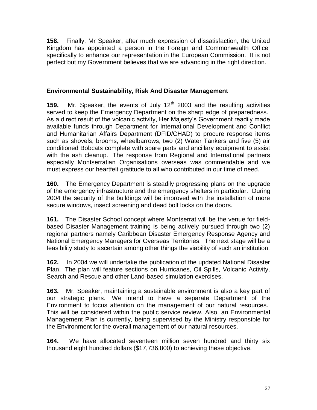**158.** Finally, Mr Speaker, after much expression of dissatisfaction, the United Kingdom has appointed a person in the Foreign and Commonwealth Office specifically to enhance our representation in the European Commission. It is not perfect but my Government believes that we are advancing in the right direction.

#### **Environmental Sustainability, Risk And Disaster Management**

**159.** Mr. Speaker, the events of July 12<sup>th</sup> 2003 and the resulting activities served to keep the Emergency Department on the sharp edge of preparedness. As a direct result of the volcanic activity, Her Majesty's Government readily made available funds through Department for International Development and Conflict and Humanitarian Affairs Department (DFID/CHAD) to procure response items such as shovels, brooms, wheelbarrows, two (2) Water Tankers and five (5) air conditioned Bobcats complete with spare parts and ancillary equipment to assist with the ash cleanup. The response from Regional and International partners especially Montserratian Organisations overseas was commendable and we must express our heartfelt gratitude to all who contributed in our time of need.

**160.** The Emergency Department is steadily progressing plans on the upgrade of the emergency infrastructure and the emergency shelters in particular. During 2004 the security of the buildings will be improved with the installation of more secure windows, insect screening and dead bolt locks on the doors.

**161.** The Disaster School concept where Montserrat will be the venue for fieldbased Disaster Management training is being actively pursued through two (2) regional partners namely Caribbean Disaster Emergency Response Agency and National Emergency Managers for Overseas Territories. The next stage will be a feasibility study to ascertain among other things the viability of such an institution.

**162.** In 2004 we will undertake the publication of the updated National Disaster Plan. The plan will feature sections on Hurricanes, Oil Spills, Volcanic Activity, Search and Rescue and other Land-based simulation exercises.

**163.** Mr. Speaker, maintaining a sustainable environment is also a key part of our strategic plans. We intend to have a separate Department of the Environment to focus attention on the management of our natural resources. This will be considered within the public service review. Also, an Environmental Management Plan is currently, being supervised by the Ministry responsible for the Environment for the overall management of our natural resources.

**164.** We have allocated seventeen million seven hundred and thirty six thousand eight hundred dollars (\$17,736,800) to achieving these objective.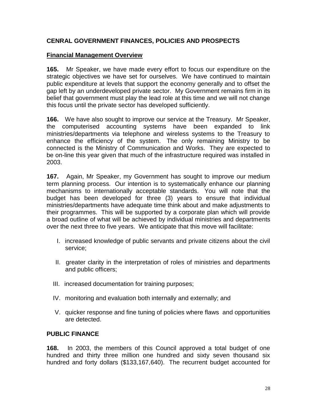#### **CENRAL GOVERNMENT FINANCES, POLICIES AND PROSPECTS**

#### **Financial Management Overview**

**165.** Mr Speaker, we have made every effort to focus our expenditure on the strategic objectives we have set for ourselves. We have continued to maintain public expenditure at levels that support the economy generally and to offset the gap left by an underdeveloped private sector. My Government remains firm in its belief that government must play the lead role at this time and we will not change this focus until the private sector has developed sufficiently.

**166.** We have also sought to improve our service at the Treasury. Mr Speaker, the computerised accounting systems have been expanded to link ministries/departments via telephone and wireless systems to the Treasury to enhance the efficiency of the system. The only remaining Ministry to be connected is the Ministry of Communication and Works. They are expected to be on-line this year given that much of the infrastructure required was installed in 2003.

**167.** Again, Mr Speaker, my Government has sought to improve our medium term planning process. Our intention is to systematically enhance our planning mechanisms to internationally acceptable standards. You will note that the budget has been developed for three (3) years to ensure that individual ministries/departments have adequate time think about and make adjustments to their programmes. This will be supported by a corporate plan which will provide a broad outline of what will be achieved by individual ministries and departments over the next three to five years. We anticipate that this move will facilitate:

- I. increased knowledge of public servants and private citizens about the civil service;
- II. greater clarity in the interpretation of roles of ministries and departments and public officers;
- III. increased documentation for training purposes;
- IV. monitoring and evaluation both internally and externally; and
- V. quicker response and fine tuning of policies where flaws and opportunities are detected.

#### **PUBLIC FINANCE**

**168.** In 2003, the members of this Council approved a total budget of one hundred and thirty three million one hundred and sixty seven thousand six hundred and forty dollars (\$133,167,640). The recurrent budget accounted for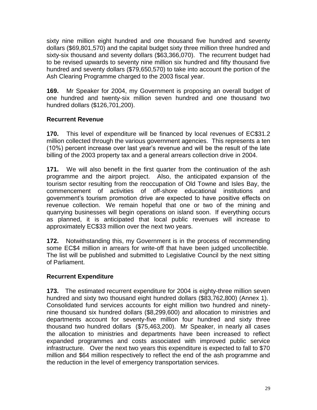sixty nine million eight hundred and one thousand five hundred and seventy dollars (\$69,801,570) and the capital budget sixty three million three hundred and sixty-six thousand and seventy dollars (\$63,366,070). The recurrent budget had to be revised upwards to seventy nine million six hundred and fifty thousand five hundred and seventy dollars (\$79,650,570) to take into account the portion of the Ash Clearing Programme charged to the 2003 fiscal year.

**169.** Mr Speaker for 2004, my Government is proposing an overall budget of one hundred and twenty-six million seven hundred and one thousand two hundred dollars (\$126,701,200).

## **Recurrent Revenue**

**170.** This level of expenditure will be financed by local revenues of EC\$31.2 million collected through the various government agencies. This represents a ten (10%) percent increase over last year's revenue and will be the result of the late billing of the 2003 property tax and a general arrears collection drive in 2004.

**171.** We will also benefit in the first quarter from the continuation of the ash programme and the airport project. Also, the anticipated expansion of the tourism sector resulting from the reoccupation of Old Towne and Isles Bay, the commencement of activities of off-shore educational institutions and government's tourism promotion drive are expected to have positive effects on revenue collection. We remain hopeful that one or two of the mining and quarrying businesses will begin operations on island soon. If everything occurs as planned, it is anticipated that local public revenues will increase to approximately EC\$33 million over the next two years.

**172.** Notwithstanding this, my Government is in the process of recommending some EC\$4 million in arrears for write-off that have been judged uncollectible. The list will be published and submitted to Legislative Council by the next sitting of Parliament.

## **Recurrent Expenditure**

**173.** The estimated recurrent expenditure for 2004 is eighty-three million seven hundred and sixty two thousand eight hundred dollars (\$83,762,800) (Annex 1). Consolidated fund services accounts for eight million two hundred and ninetynine thousand six hundred dollars (\$8,299,600) and allocation to ministries and departments account for seventy-five million four hundred and sixty three thousand two hundred dollars (\$75,463,200). Mr Speaker, in nearly all cases the allocation to ministries and departments have been increased to reflect expanded programmes and costs associated with improved public service infrastructure. Over the next two years this expenditure is expected to fall to \$70 million and \$64 million respectively to reflect the end of the ash programme and the reduction in the level of emergency transportation services.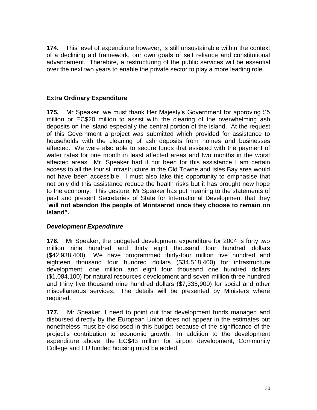**174.** This level of expenditure however, is still unsustainable within the context of a declining aid framework, our own goals of self reliance and constitutional advancement. Therefore, a restructuring of the public services will be essential over the next two years to enable the private sector to play a more leading role.

## **Extra Ordinary Expenditure**

**175.** Mr Speaker, we must thank Her Majesty's Government for approving £5 million or EC\$20 million to assist with the clearing of the overwhelming ash deposits on the island especially the central portion of the island. At the request of this Government a project was submitted which provided for assistance to households with the cleaning of ash deposits from homes and businesses affected. We were also able to secure funds that assisted with the payment of water rates for one month in least affected areas and two months in the worst affected areas. Mr. Speaker had it not been for this assistance I am certain access to all the tourist infrastructure in the Old Towne and Isles Bay area would not have been accessible. I must also take this opportunity to emphasise that not only did this assistance reduce the health risks but it has brought new hope to the economy. This gesture, Mr Speaker has put meaning to the statements of past and present Secretaries of State for International Development that they "**will not abandon the people of Montserrat once they choose to remain on island".**

#### *Development Expenditure*

**176.** Mr Speaker, the budgeted development expenditure for 2004 is forty two million nine hundred and thirty eight thousand four hundred dollars (\$42,938,400). We have programmed thirty-four million five hundred and eighteen thousand four hundred dollars (\$34,518,400) for infrastructure development, one million and eight four thousand one hundred dollars (\$1,084,100) for natural resources development and seven million three hundred and thirty five thousand nine hundred dollars (\$7,335,900) for social and other miscellaneous services. The details will be presented by Ministers where required.

**177.** Mr Speaker, I need to point out that development funds managed and disbursed directly by the European Union does not appear in the estimates but nonetheless must be disclosed in this budget because of the significance of the project's contribution to economic growth. In addition to the development expenditure above, the EC\$43 million for airport development, Community College and EU funded housing must be added.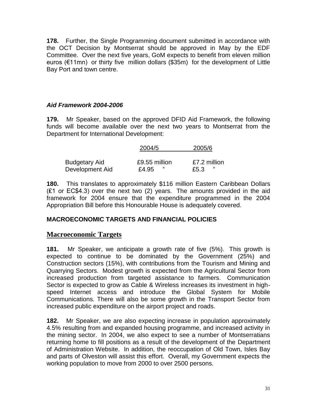**178.** Further, the Single Programming document submitted in accordance with the OCT Decision by Montserrat should be approved in May by the EDF Committee. Over the next five years, GoM expects to benefit from eleven million euros (€11mn) or thirty five million dollars (\$35m) for the development of Little Bay Port and town centre.

## *Aid Framework 2004-2006*

**179.** Mr Speaker, based on the approved DFID Aid Framework, the following funds will become available over the next two years to Montserrat from the Department for International Development:

|                      | 2004/5        | 2005/6       |
|----------------------|---------------|--------------|
| <b>Budgetary Aid</b> | £9.55 million | £7.2 million |
| Development Aid      | "<br>£4.95    | "<br>£5.3    |

**180.** This translates to approximately \$116 million Eastern Caribbean Dollars (₤1 or EC\$4.3) over the next two (2) years. The amounts provided in the aid framework for 2004 ensure that the expenditure programmed in the 2004 Appropriation Bill before this Honourable House is adequately covered.

## **MACROECONOMIC TARGETS AND FINANCIAL POLICIES**

## **Macroeconomic Targets**

**181.** Mr Speaker, we anticipate a growth rate of five (5%). This growth is expected to continue to be dominated by the Government (25%) and Construction sectors (15%), with contributions from the Tourism and Mining and Quarrying Sectors. Modest growth is expected from the Agricultural Sector from increased production from targeted assistance to farmers. Communication Sector is expected to grow as Cable & Wireless increases its investment in highspeed Internet access and introduce the Global System for Mobile Communications. There will also be some growth in the Transport Sector from increased public expenditure on the airport project and roads.

**182.** Mr Speaker, we are also expecting increase in population approximately 4.5% resulting from and expanded housing programme, and increased activity in the mining sector. In 2004, we also expect to see a number of Montserratians returning home to fill positions as a result of the development of the Department of Administration Website. In addition, the reoccupation of Old Town, Isles Bay and parts of Olveston will assist this effort. Overall, my Government expects the working population to move from 2000 to over 2500 persons.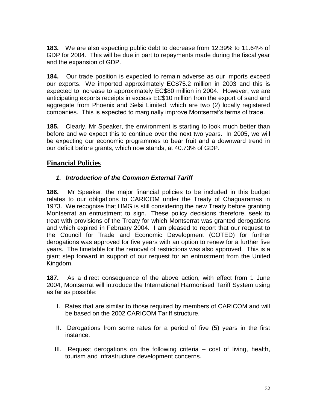**183.** We are also expecting public debt to decrease from 12.39% to 11.64% of GDP for 2004. This will be due in part to repayments made during the fiscal year and the expansion of GDP.

**184.** Our trade position is expected to remain adverse as our imports exceed our exports. We imported approximately EC\$75.2 million in 2003 and this is expected to increase to approximately EC\$80 million in 2004. However, we are anticipating exports receipts in excess EC\$10 million from the export of sand and aggregate from Phoenix and Selsi Limited, which are two (2) locally registered companies. This is expected to marginally improve Montserrat's terms of trade.

**185.** Clearly, Mr Speaker, the environment is starting to look much better than before and we expect this to continue over the next two years. In 2005, we will be expecting our economic programmes to bear fruit and a downward trend in our deficit before grants, which now stands, at 40.73% of GDP.

## **Financial Policies**

#### *1. Introduction of the Common External Tariff*

**186.** Mr Speaker, the major financial policies to be included in this budget relates to our obligations to CARICOM under the Treaty of Chaguaramas in 1973. We recognise that HMG is still considering the new Treaty before granting Montserrat an entrustment to sign. These policy decisions therefore, seek to treat with provisions of the Treaty for which Montserrat was granted derogations and which expired in February 2004. I am pleased to report that our request to the Council for Trade and Economic Development (COTED) for further derogations was approved for five years with an option to renew for a further five years. The timetable for the removal of restrictions was also approved. This is a giant step forward in support of our request for an entrustment from the United Kingdom.

**187.** As a direct consequence of the above action, with effect from 1 June 2004, Montserrat will introduce the International Harmonised Tariff System using as far as possible:

- I. Rates that are similar to those required by members of CARICOM and will be based on the 2002 CARICOM Tariff structure.
- II. Derogations from some rates for a period of five (5) years in the first instance.
- III. Request derogations on the following criteria cost of living, health, tourism and infrastructure development concerns.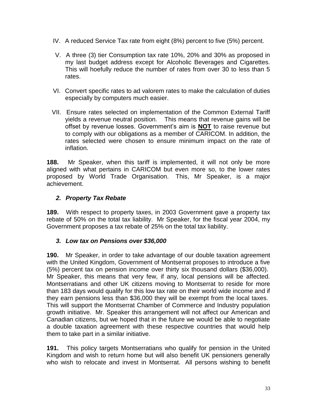- IV. A reduced Service Tax rate from eight (8%) percent to five (5%) percent.
- V. A three (3) tier Consumption tax rate 10%, 20% and 30% as proposed in my last budget address except for Alcoholic Beverages and Cigarettes. This will hoefully reduce the number of rates from over 30 to less than 5 rates.
- VI. Convert specific rates to ad valorem rates to make the calculation of duties especially by computers much easier.
- VII. Ensure rates selected on implementation of the Common External Tariff yields a revenue neutral position. This means that revenue gains will be offset by revenue losses. Government's aim is **NOT** to raise revenue but to comply with our obligations as a member of CARICOM. In addition, the rates selected were chosen to ensure minimum impact on the rate of inflation.

**188.** Mr Speaker, when this tariff is implemented, it will not only be more aligned with what pertains in CARICOM but even more so, to the lower rates proposed by World Trade Organisation. This, Mr Speaker, is a major achievement.

#### *2. Property Tax Rebate*

**189.** With respect to property taxes, in 2003 Government gave a property tax rebate of 50% on the total tax liability. Mr Speaker, for the fiscal year 2004, my Government proposes a tax rebate of 25% on the total tax liability.

#### *3. Low tax on Pensions over \$36,000*

**190.** Mr Speaker, in order to take advantage of our double taxation agreement with the United Kingdom, Government of Montserrat proposes to introduce a five (5%) percent tax on pension income over thirty six thousand dollars (\$36,000). Mr Speaker, this means that very few, if any, local pensions will be affected. Montserratians and other UK citizens moving to Montserrat to reside for more than 183 days would qualify for this low tax rate on their world wide income and if they earn pensions less than \$36,000 they will be exempt from the local taxes. This will support the Montserrat Chamber of Commerce and Industry population growth initiative. Mr. Speaker this arrangement will not affect our American and Canadian citizens, but we hoped that in the future we would be able to negotiate a double taxation agreement with these respective countries that would help them to take part in a similar initiative.

**191.** This policy targets Montserratians who qualify for pension in the United Kingdom and wish to return home but will also benefit UK pensioners generally who wish to relocate and invest in Montserrat. All persons wishing to benefit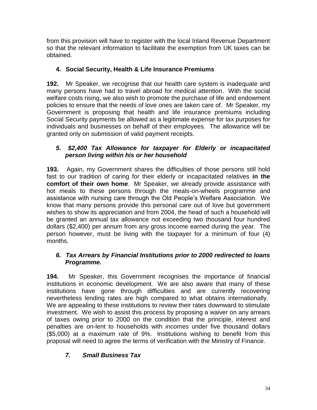from this provision will have to register with the local Inland Revenue Department so that the relevant information to facilitate the exemption from UK taxes can be obtained.

## **4. Social Security, Health & Life Insurance Premiums**

**192.** Mr Speaker, we recognise that our health care system is inadequate and many persons have had to travel abroad for medical attention. With the social welfare costs rising, we also wish to promote the purchase of life and endowment policies to ensure that the needs of love ones are taken care of. Mr Speaker, my Government is proposing that health and life insurance premiums including Social Security payments be allowed as a legitimate expense for tax purposes for individuals and businesses on behalf of their employees. The allowance will be granted only on submission of valid payment receipts.

#### *5. \$2,400 Tax Allowance for taxpayer for Elderly or incapacitated person living within his or her household*

**193.** Again, my Government shares the difficulties of those persons still hold fast to our tradition of caring for their elderly or incapacitated relatives **in the comfort of their own home**. Mr Speaker, we already provide assistance with hot meals to these persons through the meals-on-wheels programme and assistance with nursing care through the Old People's Welfare Association. We know that many persons provide this personal care out of love but government wishes to show its appreciation and from 2004, the head of such a household will be granted an annual tax allowance not exceeding two thousand four hundred dollars (\$2,400) per annum from any gross income earned during the year. The person however, must be living with the taxpayer for a minimum of four (4) months.

#### *6. Tax Arrears by Financial Institutions prior to 2000 redirected to loans Programme.*

**194.** Mr Speaker, this Government recognises the importance of financial institutions in economic development. We are also aware that many of these institutions have gone through difficulties and are currently recovering nevertheless lending rates are high compared to what obtains internationally. We are appealing to these institutions to review their rates downward to stimulate investment. We wish to assist this process by proposing a waiver on any arrears of taxes owing prior to 2000 on the condition that the principle, interest and penalties are on-lent to households with incomes under five thousand dollars (\$5,000) at a maximum rate of 9%. Institutions wishing to benefit from this proposal will need to agree the terms of verification with the Ministry of Finance.

## *7. Small Business Tax*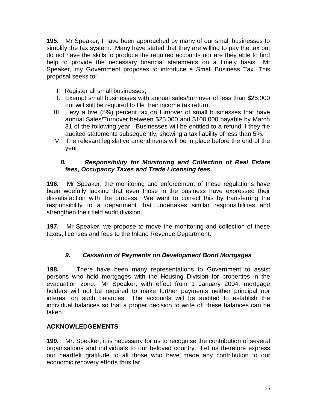**195.** Mr Speaker, I have been approached by many of our small businesses to simplify the tax system. Many have stated that they are willing to pay the tax but do not have the skills to produce the required accounts nor are they able to find help to provide the necessary financial statements on a timely basis. Mr Speaker, my Government proposes to introduce a Small Business Tax. This proposal seeks to:

- I. Register all small businesses;
- II. Exempt small businesses with annual sales/turnover of less than \$25,000 but will still be required to file their income tax return;
- III. Levy a five (5%) percent tax on turnover of small businesses that have annual Sales/Turnover between \$25,000 and \$100,000 payable by March 31 of the following year. Businesses will be entitled to a refund if they file audited statements subsequently, showing a tax liability of less than 5%.
- IV. The relevant legislative amendments will be in place before the end of the year.

#### *8. Responsibility for Monitoring and Collection of Real Estate fees, Occupancy Taxes and Trade Licensing fees.*

**196.** Mr Speaker, the monitoring and enforcement of these regulations have been woefully lacking that even those in the business have expressed their dissatisfaction with the process. We want to correct this by transferring the responsibility to a department that undertakes similar responsibilities and strengthen their field audit division.

**197.** Mr Speaker, we propose to move the monitoring and collection of these taxes, licenses and fees to the Inland Revenue Department.

## *9. Cessation of Payments on Development Bond Mortgages*

**198.** There have been many representations to Government to assist persons who hold mortgages with the Housing Division for properties in the evacuation zone. Mr Speaker, with effect from 1 January 2004, mortgage holders will not be required to make further payments neither principal nor interest on such balances. The accounts will be audited to establish the individual balances so that a proper decision to write off these balances can be taken.

#### **ACKNOWLEDGEMENTS**

**199.** Mr. Speaker, it is necessary for us to recognise the contribution of several organisations and individuals to our beloved country. Let us therefore express our heartfelt gratitude to all those who have made any contribution to our economic recovery efforts thus far.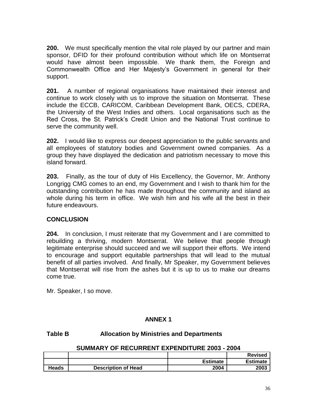**200.** We must specifically mention the vital role played by our partner and main sponsor, DFID for their profound contribution without which life on Montserrat would have almost been impossible. We thank them, the Foreign and Commonwealth Office and Her Majesty's Government in general for their support.

**201.** A number of regional organisations have maintained their interest and continue to work closely with us to improve the situation on Montserrat. These include the ECCB, CARICOM, Caribbean Development Bank, OECS, CDERA, the University of the West Indies and others. Local organisations such as the Red Cross, the St. Patrick's Credit Union and the National Trust continue to serve the community well.

**202.** I would like to express our deepest appreciation to the public servants and all employees of statutory bodies and Government owned companies. As a group they have displayed the dedication and patriotism necessary to move this island forward.

**203.** Finally, as the tour of duty of His Excellency, the Governor, Mr. Anthony Longrigg CMG comes to an end, my Government and I wish to thank him for the outstanding contribution he has made throughout the community and island as whole during his term in office. We wish him and his wife all the best in their future endeavours.

#### **CONCLUSION**

**204.** In conclusion, I must reiterate that my Government and I are committed to rebuilding a thriving, modern Montserrat. We believe that people through legitimate enterprise should succeed and we will support their efforts. We intend to encourage and support equitable partnerships that will lead to the mutual benefit of all parties involved. And finally, Mr Speaker, my Government believes that Montserrat will rise from the ashes but it is up to us to make our dreams come true.

Mr. Speaker, I so move.

#### **ANNEX 1**

#### **Table B Allocation by Ministries and Departments**

#### **SUMMARY OF RECURRENT EXPENDITURE 2003 - 2004**

|       |                            |                 | <b>Revised</b>  |
|-------|----------------------------|-----------------|-----------------|
|       |                            | <b>Estimate</b> | <b>Estimate</b> |
| Heads | <b>Description of Head</b> | 2004            | 2003            |